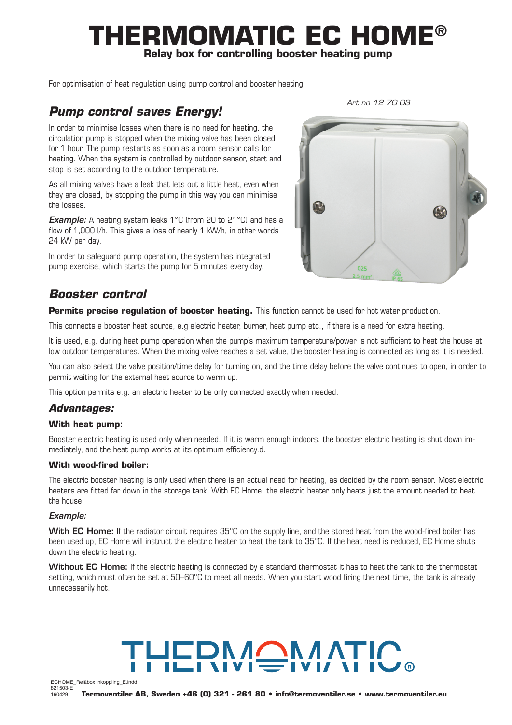# **THERMOMATIC EC HOME® Relay box for controlling booster heating pump**

For optimisation of heat regulation using pump control and booster heating.

## *Pump control saves Energy!*

*Art no 12 70 03*

In order to minimise losses when there is no need for heating, the circulation pump is stopped when the mixing valve has been closed for 1 hour. The pump restarts as soon as a room sensor calls for heating. When the system is controlled by outdoor sensor, start and stop is set according to the outdoor temperature.

As all mixing valves have a leak that lets out a little heat, even when they are closed, by stopping the pump in this way you can minimise the losses.

**Example:** A heating system leaks 1°C (from 20 to 21°C) and has a flow of 1,000 l/h. This gives a loss of nearly 1 kW/h, in other words 24 kW per day.

In order to safeguard pump operation, the system has integrated pump exercise, which starts the pump for 5 minutes every day.

# *Booster control*

**Permits precise regulation of booster heating.** This function cannot be used for hot water production.

This connects a booster heat source, e.g electric heater, burner, heat pump etc., if there is a need for extra heating.

It is used, e.g. during heat pump operation when the pump's maximum temperature/power is not sufficient to heat the house at low outdoor temperatures. When the mixing valve reaches a set value, the booster heating is connected as long as it is needed.

You can also select the valve position/time delay for turning on, and the time delay before the valve continues to open, in order to permit waiting for the external heat source to warm up.

This option permits e.g. an electric heater to be only connected exactly when needed.

### *Advantages:*

#### **With heat pump:**

Booster electric heating is used only when needed. If it is warm enough indoors, the booster electric heating is shut down immediately, and the heat pump works at its optimum efficiency.d.

#### **With wood-fired boiler:**

The electric booster heating is only used when there is an actual need for heating, as decided by the room sensor. Most electric heaters are fitted far down in the storage tank. With EC Home, the electric heater only heats just the amount needed to heat the house.

#### *Example:*

**With EC Home:** If the radiator circuit requires 35°C on the supply line, and the stored heat from the wood-fired boiler has been used up, EC Home will instruct the electric heater to heat the tank to 35°C. If the heat need is reduced, EC Home shuts down the electric heating.

**Without EC Home:** If the electric heating is connected by a standard thermostat it has to heat the tank to the thermostat setting, which must often be set at 50–60°C to meet all needs. When you start wood firing the next time, the tank is already unnecessarily hot.